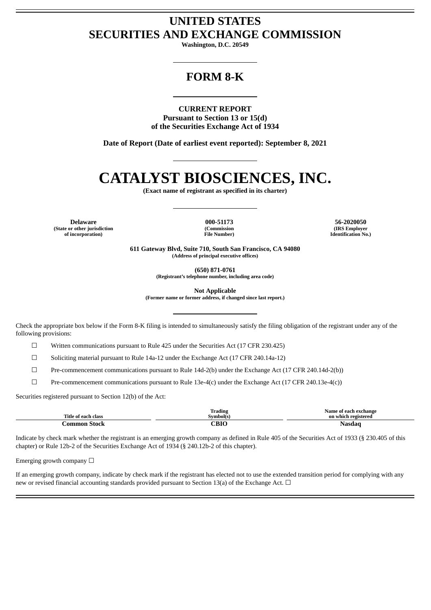# **UNITED STATES SECURITIES AND EXCHANGE COMMISSION**

**Washington, D.C. 20549**

# **FORM 8-K**

**CURRENT REPORT Pursuant to Section 13 or 15(d) of the Securities Exchange Act of 1934**

**Date of Report (Date of earliest event reported): September 8, 2021**

# **CATALYST BIOSCIENCES, INC.**

**(Exact name of registrant as specified in its charter)**

**(State or other jurisdiction of incorporation)**

**(Commission File Number)**

**Delaware 000-51173 56-2020050 (IRS Employer Identification No.)**

> **611 Gateway Blvd, Suite 710, South San Francisco, CA 94080 (Address of principal executive offices)**

> > **(650) 871-0761**

**(Registrant's telephone number, including area code)**

**Not Applicable**

**(Former name or former address, if changed since last report.)**

Check the appropriate box below if the Form 8-K filing is intended to simultaneously satisfy the filing obligation of the registrant under any of the following provisions:

 $\Box$  Written communications pursuant to Rule 425 under the Securities Act (17 CFR 230.425)

☐ Soliciting material pursuant to Rule 14a-12 under the Exchange Act (17 CFR 240.14a-12)

 $\Box$  Pre-commencement communications pursuant to Rule 14d-2(b) under the Exchange Act (17 CFR 240.14d-2(b))

 $\Box$  Pre-commencement communications pursuant to Rule 13e-4(c) under the Exchange Act (17 CFR 240.13e-4(c))

Securities registered pursuant to Section 12(b) of the Act:

| Title of each class | Trading<br>Symbol(s) | Name of each exchange<br>.<br>on which registered |
|---------------------|----------------------|---------------------------------------------------|
| . Jommon Stock      | CBIO                 | Nasdao                                            |

Indicate by check mark whether the registrant is an emerging growth company as defined in Rule 405 of the Securities Act of 1933 (§ 230.405 of this chapter) or Rule 12b-2 of the Securities Exchange Act of 1934 (§ 240.12b-2 of this chapter).

Emerging growth company  $\Box$ 

If an emerging growth company, indicate by check mark if the registrant has elected not to use the extended transition period for complying with any new or revised financial accounting standards provided pursuant to Section 13(a) of the Exchange Act.  $\Box$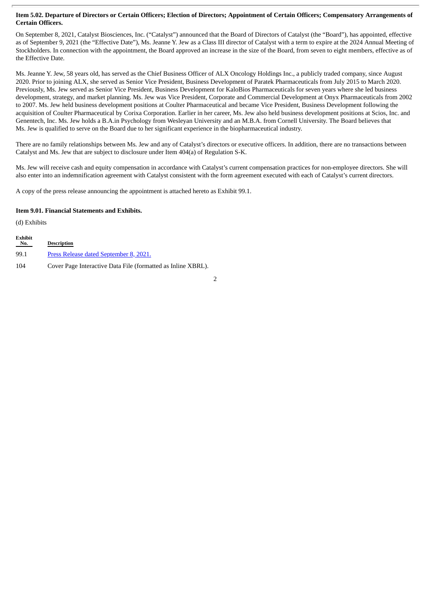### Item 5.02. Departure of Directors or Certain Officers; Election of Directors; Appointment of Certain Officers; Compensatory Arrangements of **Certain Officers.**

On September 8, 2021, Catalyst Biosciences, Inc. ("Catalyst") announced that the Board of Directors of Catalyst (the "Board"), has appointed, effective as of September 9, 2021 (the "Effective Date"), Ms. Jeanne Y. Jew as a Class III director of Catalyst with a term to expire at the 2024 Annual Meeting of Stockholders. In connection with the appointment, the Board approved an increase in the size of the Board, from seven to eight members, effective as of the Effective Date.

Ms. Jeanne Y. Jew, 58 years old, has served as the Chief Business Officer of ALX Oncology Holdings Inc., a publicly traded company, since August 2020. Prior to joining ALX, she served as Senior Vice President, Business Development of Paratek Pharmaceuticals from July 2015 to March 2020. Previously, Ms. Jew served as Senior Vice President, Business Development for KaloBios Pharmaceuticals for seven years where she led business development, strategy, and market planning. Ms. Jew was Vice President, Corporate and Commercial Development at Onyx Pharmaceuticals from 2002 to 2007. Ms. Jew held business development positions at Coulter Pharmaceutical and became Vice President, Business Development following the acquisition of Coulter Pharmaceutical by Corixa Corporation. Earlier in her career, Ms. Jew also held business development positions at Scios, Inc. and Genentech, Inc. Ms. Jew holds a B.A.in Psychology from Wesleyan University and an M.B.A. from Cornell University. The Board believes that Ms. Jew is qualified to serve on the Board due to her significant experience in the biopharmaceutical industry.

There are no family relationships between Ms. Jew and any of Catalyst's directors or executive officers. In addition, there are no transactions between Catalyst and Ms. Jew that are subject to disclosure under Item 404(a) of Regulation S-K.

Ms. Jew will receive cash and equity compensation in accordance with Catalyst's current compensation practices for non-employee directors. She will also enter into an indemnification agreement with Catalyst consistent with the form agreement executed with each of Catalyst's current directors.

A copy of the press release announcing the appointment is attached hereto as Exhibit 99.1.

#### **Item 9.01. Financial Statements and Exhibits.**

(d) Exhibits

| <b>Exhibit</b><br>$N_0$ . | <b>Description</b>                                           |
|---------------------------|--------------------------------------------------------------|
| 99.1                      | Press Release dated September 8, 2021.                       |
| 104                       | Cover Page Interactive Data File (formatted as Inline XBRL). |

2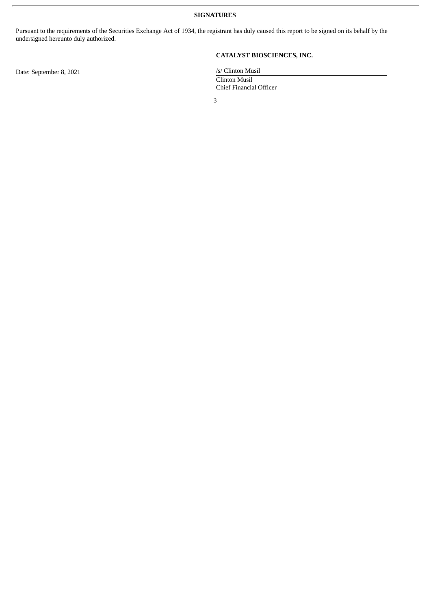**SIGNATURES**

Pursuant to the requirements of the Securities Exchange Act of 1934, the registrant has duly caused this report to be signed on its behalf by the undersigned hereunto duly authorized.

**CATALYST BIOSCIENCES, INC.**

Clinton Musil Chief Financial Officer

3

Date: September 8, 2021 /s/ Clinton Musil